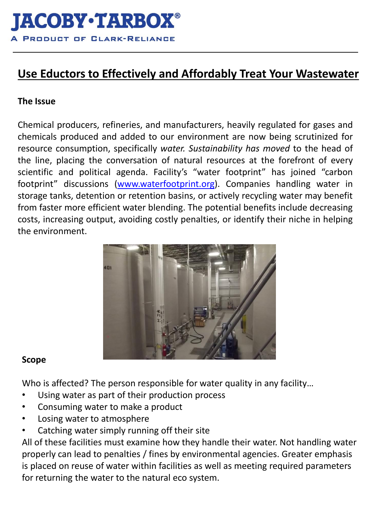# **Use Eductors to Effectively and Affordably Treat Your Wastewater**

### **The Issue**

Chemical producers, refineries, and manufacturers, heavily regulated for gases and chemicals produced and added to our environment are now being scrutinized for resource consumption, specifically *water. Sustainability has moved* to the head of the line, placing the conversation of natural resources at the forefront of every scientific and political agenda. Facility's "water footprint" has joined "carbon footprint" discussions [\(www.waterfootprint.org\)](http://www.waterfootprint.org/). Companies handling water in storage tanks, detention or retention basins, or actively recycling water may benefit from faster more efficient water blending. The potential benefits include decreasing costs, increasing output, avoiding costly penalties, or identify their niche in helping the environment.



#### **Scope**

Who is affected? The person responsible for water quality in any facility...

- Using water as part of their production process
- Consuming water to make a product
- Losing water to atmosphere
- Catching water simply running off their site

All of these facilities must examine how they handle their water. Not handling water properly can lead to penalties / fines by environmental agencies. Greater emphasis is placed on reuse of water within facilities as well as meeting required parameters for returning the water to the natural eco system.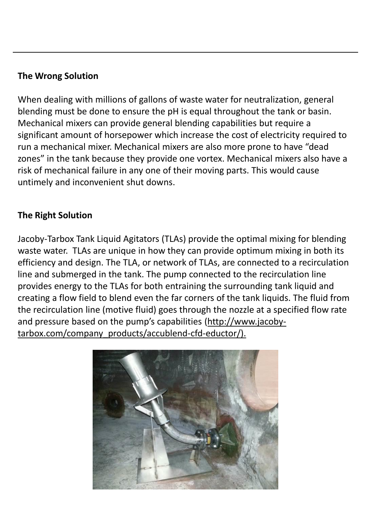#### **The Wrong Solution**

When dealing with millions of gallons of waste water for neutralization, general blending must be done to ensure the pH is equal throughout the tank or basin. Mechanical mixers can provide general blending capabilities but require a significant amount of horsepower which increase the cost of electricity required to run a mechanical mixer. Mechanical mixers are also more prone to have "dead zones" in the tank because they provide one vortex. Mechanical mixers also have a risk of mechanical failure in any one of their moving parts. This would cause untimely and inconvenient shut downs.

## **The Right Solution**

Jacoby-Tarbox Tank Liquid Agitators (TLAs) provide the optimal mixing for blending waste water. TLAs are unique in how they can provide optimum mixing in both its efficiency and design. The TLA, or network of TLAs, are connected to a recirculation line and submerged in the tank. The pump connected to the recirculation line provides energy to the TLAs for both entraining the surrounding tank liquid and creating a flow field to blend even the far corners of the tank liquids. The fluid from the recirculation line (motive fluid) goes through the nozzle at a specified flow rate and pressure based on the pump's capabilities (http://www.jacobytarbox.com/company\_products/accublend-cfd-eductor/).

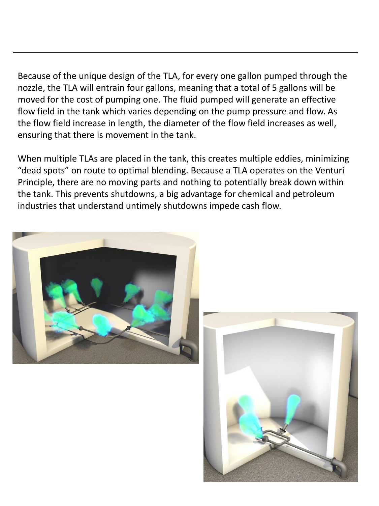Because of the unique design of the TLA, for every one gallon pumped through the nozzle, the TLA will entrain four gallons, meaning that a total of 5 gallons will be moved for the cost of pumping one. The fluid pumped will generate an effective flow field in the tank which varies depending on the pump pressure and flow. As the flow field increase in length, the diameter of the flow field increases as well, ensuring that there is movement in the tank.

When multiple TLAs are placed in the tank, this creates multiple eddies, minimizing "dead spots" on route to optimal blending. Because a TLA operates on the Venturi Principle, there are no moving parts and nothing to potentially break down within the tank. This prevents shutdowns, a big advantage for chemical and petroleum industries that understand untimely shutdowns impede cash flow.



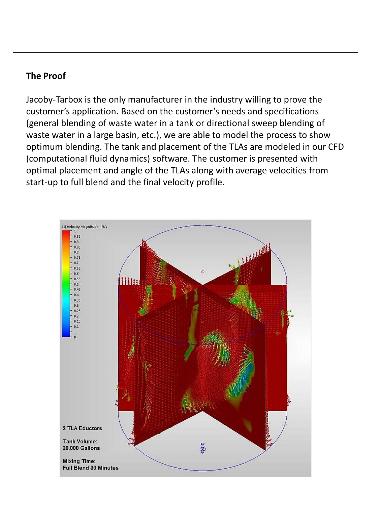#### **The Proof**

Jacoby-Tarbox is the only manufacturer in the industry willing to prove the customer's application. Based on the customer's needs and specifications (general blending of waste water in a tank or directional sweep blending of waste water in a large basin, etc.), we are able to model the process to show optimum blending. The tank and placement of the TLAs are modeled in our CFD (computational fluid dynamics) software. The customer is presented with optimal placement and angle of the TLAs along with average velocities from start-up to full blend and the final velocity profile.